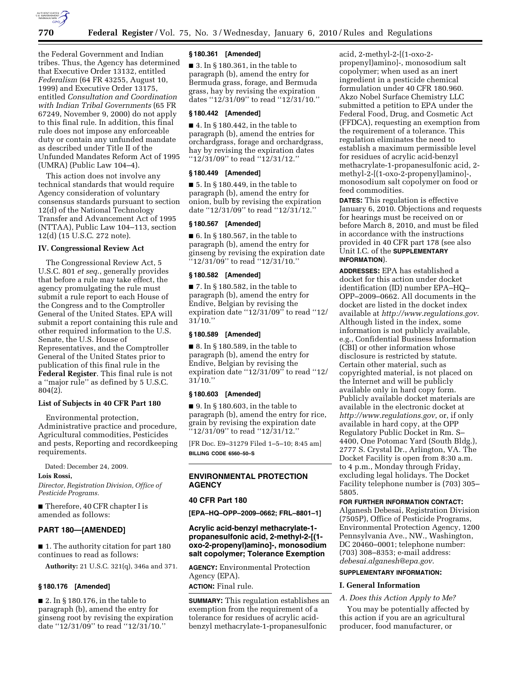

the Federal Government and Indian tribes. Thus, the Agency has determined that Executive Order 13132, entitled *Federalism* (64 FR 43255, August 10, 1999) and Executive Order 13175, entitled *Consultation and Coordination with Indian Tribal Governments* (65 FR 67249, November 9, 2000) do not apply to this final rule. In addition, this final rule does not impose any enforceable duty or contain any unfunded mandate as described under Title II of the Unfunded Mandates Reform Act of 1995 (UMRA) (Public Law 104–4).

This action does not involve any technical standards that would require Agency consideration of voluntary consensus standards pursuant to section 12(d) of the National Technology Transfer and Advancement Act of 1995 (NTTAA), Public Law 104–113, section 12(d) (15 U.S.C. 272 note).

# **IV. Congressional Review Act**

The Congressional Review Act, 5 U.S.C. 801 *et seq*., generally provides that before a rule may take effect, the agency promulgating the rule must submit a rule report to each House of the Congress and to the Comptroller General of the United States. EPA will submit a report containing this rule and other required information to the U.S. Senate, the U.S. House of Representatives, and the Comptroller General of the United States prior to publication of this final rule in the **Federal Register**. This final rule is not a ''major rule'' as defined by 5 U.S.C. 804(2).

### **List of Subjects in 40 CFR Part 180**

Environmental protection, Administrative practice and procedure, Agricultural commodities, Pesticides and pests, Reporting and recordkeeping requirements.

Dated: December 24, 2009.

# **Lois Rossi,**

*Director, Registration Division, Office of Pesticide Programs.* 

■ Therefore, 40 CFR chapter I is amended as follows:

### **PART 180—[AMENDED]**

■ 1. The authority citation for part 180 continues to read as follows:

**Authority:** 21 U.S.C. 321(q), 346a and 371.

### **§ 180.176 [Amended]**

■ 2. In § 180.176, in the table to paragraph (b), amend the entry for ginseng root by revising the expiration date ''12/31/09'' to read ''12/31/10.''

### **§ 180.361 [Amended]**

■ 3. In § 180.361, in the table to paragraph (b), amend the entry for Bermuda grass, forage, and Bermuda grass, hay by revising the expiration dates ''12/31/09'' to read ''12/31/10.''

### **§ 180.442 [Amended]**

■ 4. In § 180.442, in the table to paragraph (b), amend the entries for orchardgrass, forage and orchardgrass, hay by revising the expiration dates ''12/31/09'' to read ''12/31/12.''

### **§ 180.449 [Amended]**

■ 5. In § 180.449, in the table to paragraph (b), amend the entry for onion, bulb by revising the expiration date ''12/31/09'' to read ''12/31/12.''

### **§ 180.567 [Amended]**

■ 6. In § 180.567, in the table to paragraph (b), amend the entry for ginseng by revising the expiration date ''12/31/09'' to read ''12/31/10.''

### **§ 180.582 [Amended]**

■ 7. In § 180.582, in the table to paragraph (b), amend the entry for Endive, Belgian by revising the expiration date ''12/31/09'' to read ''12/ 31/10.''

### **§ 180.589 [Amended]**

■ 8. In § 180.589, in the table to paragraph (b), amend the entry for Endive, Belgian by revising the expiration date ''12/31/09'' to read ''12/  $31/10."$ 

# **§ 180.603 [Amended]**

■ 9. In § 180.603, in the table to paragraph (b), amend the entry for rice, grain by revising the expiration date ''12/31/09'' to read ''12/31/12.''

[FR Doc. E9–31279 Filed 1–5–10; 8:45 am] **BILLING CODE 6560–50–S** 

# **ENVIRONMENTAL PROTECTION AGENCY**

### **40 CFR Part 180**

**[EPA–HQ–OPP–2009–0662; FRL–8801–1]** 

# **Acrylic acid-benzyl methacrylate-1 propanesulfonic acid, 2-methyl-2-[(1 oxo-2-propenyl)amino]-, monosodium salt copolymer; Tolerance Exemption**

**AGENCY:** Environmental Protection Agency (EPA). **ACTION:** Final rule.

**SUMMARY:** This regulation establishes an exemption from the requirement of a tolerance for residues of acrylic acidbenzyl methacrylate-1-propanesulfonic

acid, 2-methyl-2-[(1-oxo-2 propenyl)amino]-, monosodium salt copolymer; when used as an inert ingredient in a pesticide chemical formulation under 40 CFR 180.960. Akzo Nobel Surface Chemistry LLC submitted a petition to EPA under the Federal Food, Drug, and Cosmetic Act (FFDCA), requesting an exemption from the requirement of a tolerance. This regulation eliminates the need to establish a maximum permissible level for residues of acrylic acid-benzyl methacrylate-1-propanesulfonic acid, 2 methyl-2-[(1-oxo-2-propenyl)amino]-, monosodium salt copolymer on food or feed commodities.

**DATES:** This regulation is effective January 6, 2010. Objections and requests for hearings must be received on or before March 8, 2010, and must be filed in accordance with the instructions provided in 40 CFR part 178 (see also Unit I.C. of the **SUPPLEMENTARY INFORMATION**).

**ADDRESSES:** EPA has established a docket for this action under docket identification (ID) number EPA–HQ– OPP–2009–0662. All documents in the docket are listed in the docket index available at *http://www.regulations.gov*. Although listed in the index, some information is not publicly available, e.g., Confidential Business Information (CBI) or other information whose disclosure is restricted by statute. Certain other material, such as copyrighted material, is not placed on the Internet and will be publicly available only in hard copy form. Publicly available docket materials are available in the electronic docket at *http://www.regulations.gov*, or, if only available in hard copy, at the OPP Regulatory Public Docket in Rm. S– 4400, One Potomac Yard (South Bldg.), 2777 S. Crystal Dr., Arlington, VA. The Docket Facility is open from 8:30 a.m. to 4 p.m., Monday through Friday, excluding legal holidays. The Docket Facility telephone number is (703) 305– 5805.

# **FOR FURTHER INFORMATION CONTACT:**

Alganesh Debesai, Registration Division (7505P), Office of Pesticide Programs, Environmental Protection Agency, 1200 Pennsylvania Ave., NW., Washington, DC 20460–0001; telephone number: (703) 308–8353; e-mail address: *debesai.alganesh@epa.gov*.

# **SUPPLEMENTARY INFORMATION:**

### **I. General Information**

### *A. Does this Action Apply to Me?*

You may be potentially affected by this action if you are an agricultural producer, food manufacturer, or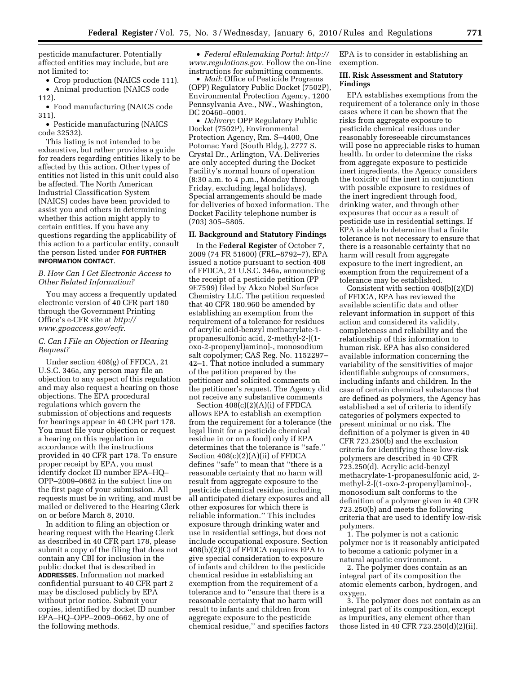pesticide manufacturer. Potentially affected entities may include, but are not limited to:

• Crop production (NAICS code 111).

• Animal production (NAICS code 112).

• Food manufacturing (NAICS code 311).

• Pesticide manufacturing (NAICS code 32532).

This listing is not intended to be exhaustive, but rather provides a guide for readers regarding entities likely to be affected by this action. Other types of entities not listed in this unit could also be affected. The North American Industrial Classification System (NAICS) codes have been provided to assist you and others in determining whether this action might apply to certain entities. If you have any questions regarding the applicability of this action to a particular entity, consult the person listed under **FOR FURTHER INFORMATION CONTACT**.

# *B. How Can I Get Electronic Access to Other Related Information?*

You may access a frequently updated electronic version of 40 CFR part 180 through the Government Printing Office's e-CFR site at *http:// www.gpoaccess.gov/ecfr*.

# *C. Can I File an Objection or Hearing Request?*

Under section 408(g) of FFDCA, 21 U.S.C. 346a, any person may file an objection to any aspect of this regulation and may also request a hearing on those objections. The EPA procedural regulations which govern the submission of objections and requests for hearings appear in 40 CFR part 178. You must file your objection or request a hearing on this regulation in accordance with the instructions provided in 40 CFR part 178. To ensure proper receipt by EPA, you must identify docket ID number EPA–HQ– OPP–2009–0662 in the subject line on the first page of your submission. All requests must be in writing, and must be mailed or delivered to the Hearing Clerk on or before March 8, 2010.

In addition to filing an objection or hearing request with the Hearing Clerk as described in 40 CFR part 178, please submit a copy of the filing that does not contain any CBI for inclusion in the public docket that is described in **ADDRESSES**. Information not marked confidential pursuant to 40 CFR part 2 may be disclosed publicly by EPA without prior notice. Submit your copies, identified by docket ID number EPA–HQ–OPP–2009–0662, by one of the following methods.

• *Federal eRulemaking Portal*: *http:// www.regulations.gov*. Follow the on-line instructions for submitting comments.

• *Mail*: Office of Pesticide Programs (OPP) Regulatory Public Docket (7502P), Environmental Protection Agency, 1200 Pennsylvania Ave., NW., Washington, DC 20460–0001.

• *Delivery*: OPP Regulatory Public Docket (7502P), Environmental Protection Agency, Rm. S–4400, One Potomac Yard (South Bldg.), 2777 S. Crystal Dr., Arlington, VA. Deliveries are only accepted during the Docket Facility's normal hours of operation (8:30 a.m. to 4 p.m., Monday through Friday, excluding legal holidays). Special arrangements should be made for deliveries of boxed information. The Docket Facility telephone number is (703) 305–5805.

# **II. Background and Statutory Findings**

In the **Federal Register** of October 7, 2009 (74 FR 51600) (FRL–8792–7), EPA issued a notice pursuant to section 408 of FFDCA, 21 U.S.C. 346a, announcing the receipt of a pesticide petition (PP 9E7599) filed by Akzo Nobel Surface Chemistry LLC. The petition requested that 40 CFR 180.960 be amended by establishing an exemption from the requirement of a tolerance for residues of acrylic acid-benzyl methacrylate-1 propanesulfonic acid, 2-methyl-2-[(1 oxo-2-propenyl)amino]-, monosodium salt copolymer; CAS Reg. No. 1152297– 42–1. That notice included a summary of the petition prepared by the petitioner and solicited comments on the petitioner's request. The Agency did not receive any substantive comments

Section 408(c)(2)(A)(i) of FFDCA allows EPA to establish an exemption from the requirement for a tolerance (the legal limit for a pesticide chemical residue in or on a food) only if EPA determines that the tolerance is ''safe.'' Section 408(c)(2)(A)(ii) of FFDCA defines ''safe'' to mean that ''there is a reasonable certainty that no harm will result from aggregate exposure to the pesticide chemical residue, including all anticipated dietary exposures and all other exposures for which there is reliable information.'' This includes exposure through drinking water and use in residential settings, but does not include occupational exposure. Section 408(b)(2)(C) of FFDCA requires EPA to give special consideration to exposure of infants and children to the pesticide chemical residue in establishing an exemption from the requirement of a tolerance and to ''ensure that there is a reasonable certainty that no harm will result to infants and children from aggregate exposure to the pesticide chemical residue,'' and specifies factors

EPA is to consider in establishing an exemption.

### **III. Risk Assessment and Statutory Findings**

EPA establishes exemptions from the requirement of a tolerance only in those cases where it can be shown that the risks from aggregate exposure to pesticide chemical residues under reasonably foreseeable circumstances will pose no appreciable risks to human health. In order to determine the risks from aggregate exposure to pesticide inert ingredients, the Agency considers the toxicity of the inert in conjunction with possible exposure to residues of the inert ingredient through food, drinking water, and through other exposures that occur as a result of pesticide use in residential settings. If EPA is able to determine that a finite tolerance is not necessary to ensure that there is a reasonable certainty that no harm will result from aggregate exposure to the inert ingredient, an exemption from the requirement of a tolerance may be established.

Consistent with section 408(b)(2)(D) of FFDCA, EPA has reviewed the available scientific data and other relevant information in support of this action and considered its validity, completeness and reliability and the relationship of this information to human risk. EPA has also considered available information concerning the variability of the sensitivities of major identifiable subgroups of consumers, including infants and children. In the case of certain chemical substances that are defined as polymers, the Agency has established a set of criteria to identify categories of polymers expected to present minimal or no risk. The definition of a polymer is given in 40 CFR 723.250(b) and the exclusion criteria for identifying these low-risk polymers are described in 40 CFR 723.250(d). Acrylic acid-benzyl methacrylate-1-propanesulfonic acid, 2 methyl-2-[(1-oxo-2-propenyl)amino]-, monosodium salt conforms to the definition of a polymer given in 40 CFR 723.250(b) and meets the following criteria that are used to identify low-risk polymers.

1. The polymer is not a cationic polymer nor is it reasonably anticipated to become a cationic polymer in a natural aquatic environment.

2. The polymer does contain as an integral part of its composition the atomic elements carbon, hydrogen, and oxygen.

3. The polymer does not contain as an integral part of its composition, except as impurities, any element other than those listed in 40 CFR 723.250(d)(2)(ii).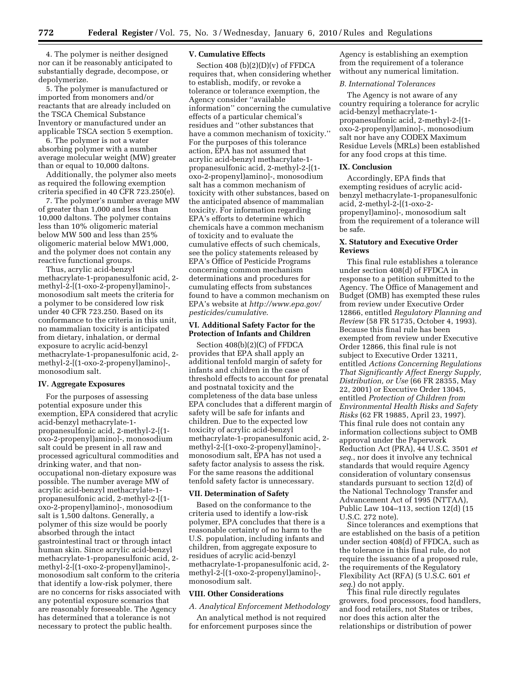4. The polymer is neither designed nor can it be reasonably anticipated to substantially degrade, decompose, or depolymerize.

5. The polymer is manufactured or imported from monomers and/or reactants that are already included on the TSCA Chemical Substance Inventory or manufactured under an applicable TSCA section 5 exemption.

6. The polymer is not a water absorbing polymer with a number average molecular weight (MW) greater than or equal to 10,000 daltons.

Additionally, the polymer also meets as required the following exemption criteria specified in 40 CFR 723.250(e).

7. The polymer's number average MW of greater than 1,000 and less than 10,000 daltons. The polymer contains less than 10% oligomeric material below MW 500 and less than 25% oligomeric material below MW1,000, and the polymer does not contain any reactive functional groups.

Thus, acrylic acid-benzyl methacrylate-1-propanesulfonic acid, 2 methyl-2-[(1-oxo-2-propenyl)amino]-, monosodium salt meets the criteria for a polymer to be considered low risk under 40 CFR 723.250. Based on its conformance to the criteria in this unit, no mammalian toxicity is anticipated from dietary, inhalation, or dermal exposure to acrylic acid-benzyl methacrylate-1-propanesulfonic acid, 2 methyl-2-[(1-oxo-2-propenyl)amino]-, monosodium salt.

### **IV. Aggregate Exposures**

For the purposes of assessing potential exposure under this exemption, EPA considered that acrylic acid-benzyl methacrylate-1 propanesulfonic acid, 2-methyl-2-[(1 oxo-2-propenyl)amino]-, monosodium salt could be present in all raw and processed agricultural commodities and drinking water, and that nonoccupational non-dietary exposure was possible. The number average MW of acrylic acid-benzyl methacrylate-1 propanesulfonic acid, 2-methyl-2-[(1 oxo-2-propenyl)amino]-, monosodium salt is 1,500 daltons. Generally, a polymer of this size would be poorly absorbed through the intact gastrointestinal tract or through intact human skin. Since acrylic acid-benzyl methacrylate-1-propanesulfonic acid, 2 methyl-2-[(1-oxo-2-propenyl)amino]-, monosodium salt conform to the criteria that identify a low-risk polymer, there are no concerns for risks associated with any potential exposure scenarios that are reasonably foreseeable. The Agency has determined that a tolerance is not necessary to protect the public health.

# **V. Cumulative Effects**

Section 408 (b)(2)(D)(v) of FFDCA requires that, when considering whether to establish, modify, or revoke a tolerance or tolerance exemption, the Agency consider ''available information'' concerning the cumulative effects of a particular chemical's residues and ''other substances that have a common mechanism of toxicity.'' For the purposes of this tolerance action, EPA has not assumed that acrylic acid-benzyl methacrylate-1 propanesulfonic acid, 2-methyl-2-[(1 oxo-2-propenyl)amino]-, monosodium salt has a common mechanism of toxicity with other substances, based on the anticipated absence of mammalian toxicity. For information regarding EPA's efforts to determine which chemicals have a common mechanism of toxicity and to evaluate the cumulative effects of such chemicals, see the policy statements released by EPA's Office of Pesticide Programs concerning common mechanism determinations and procedures for cumulating effects from substances found to have a common mechanism on EPA's website at *http://www.epa.gov/ pesticides/cumulative*.

# **VI. Additional Safety Factor for the Protection of Infants and Children**

Section 408(b)(2)(C) of FFDCA provides that EPA shall apply an additional tenfold margin of safety for infants and children in the case of threshold effects to account for prenatal and postnatal toxicity and the completeness of the data base unless EPA concludes that a different margin of safety will be safe for infants and children. Due to the expected low toxicity of acrylic acid-benzyl methacrylate-1-propanesulfonic acid, 2 methyl-2-[(1-oxo-2-propenyl)amino]-, monosodium salt, EPA has not used a safety factor analysis to assess the risk. For the same reasons the additional tenfold safety factor is unnecessary.

### **VII. Determination of Safety**

Based on the conformance to the criteria used to identify a low-risk polymer, EPA concludes that there is a reasonable certainty of no harm to the U.S. population, including infants and children, from aggregate exposure to residues of acrylic acid-benzyl methacrylate-1-propanesulfonic acid, 2 methyl-2-[(1-oxo-2-propenyl)amino]-, monosodium salt.

### **VIII. Other Considerations**

# *A. Analytical Enforcement Methodology*

An analytical method is not required for enforcement purposes since the

Agency is establishing an exemption from the requirement of a tolerance without any numerical limitation.

# *B. International Tolerances*

The Agency is not aware of any country requiring a tolerance for acrylic acid-benzyl methacrylate-1 propanesulfonic acid, 2-methyl-2-[(1 oxo-2-propenyl)amino]-, monosodium salt nor have any CODEX Maximum Residue Levels (MRLs) been established for any food crops at this time.

# **IX. Conclusion**

Accordingly, EPA finds that exempting residues of acrylic acidbenzyl methacrylate-1-propanesulfonic acid, 2-methyl-2-[(1-oxo-2 propenyl)amino]-, monosodium salt from the requirement of a tolerance will be safe.

## **X. Statutory and Executive Order Reviews**

This final rule establishes a tolerance under section 408(d) of FFDCA in response to a petition submitted to the Agency. The Office of Management and Budget (OMB) has exempted these rules from review under Executive Order 12866, entitled *Regulatory Planning and Review* (58 FR 51735, October 4, 1993). Because this final rule has been exempted from review under Executive Order 12866, this final rule is not subject to Executive Order 13211, entitled *Actions Concerning Regulations That Significantly Affect Energy Supply, Distribution, or Use* (66 FR 28355, May 22, 2001) or Executive Order 13045, entitled *Protection of Children from Environmental Health Risks and Safety Risks* (62 FR 19885, April 23, 1997). This final rule does not contain any information collections subject to OMB approval under the Paperwork Reduction Act (PRA), 44 U.S.C. 3501 *et seq*., nor does it involve any technical standards that would require Agency consideration of voluntary consensus standards pursuant to section 12(d) of the National Technology Transfer and Advancement Act of 1995 (NTTAA), Public Law 104–113, section 12(d) (15 U.S.C. 272 note).

Since tolerances and exemptions that are established on the basis of a petition under section 408(d) of FFDCA, such as the tolerance in this final rule, do not require the issuance of a proposed rule, the requirements of the Regulatory Flexibility Act (RFA) (5 U.S.C. 601 *et seq*.) do not apply.

This final rule directly regulates growers, food processors, food handlers, and food retailers, not States or tribes, nor does this action alter the relationships or distribution of power